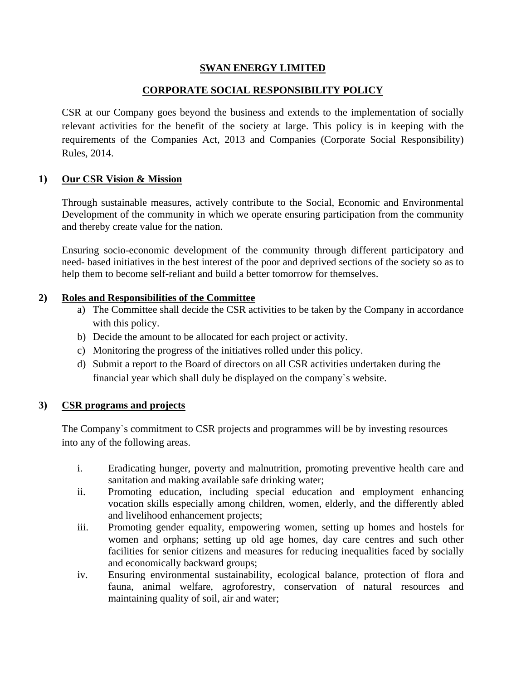## **SWAN ENERGY LIMITED**

# **CORPORATE SOCIAL RESPONSIBILITY POLICY**

CSR at our Company goes beyond the business and extends to the implementation of socially relevant activities for the benefit of the society at large. This policy is in keeping with the requirements of the Companies Act, 2013 and Companies (Corporate Social Responsibility) Rules, 2014.

### **1) Our CSR Vision & Mission**

Through sustainable measures, actively contribute to the Social, Economic and Environmental Development of the community in which we operate ensuring participation from the community and thereby create value for the nation.

Ensuring socio-economic development of the community through different participatory and need- based initiatives in the best interest of the poor and deprived sections of the society so as to help them to become self-reliant and build a better tomorrow for themselves.

### **2) Roles and Responsibilities of the Committee**

- a) The Committee shall decide the CSR activities to be taken by the Company in accordance with this policy.
- b) Decide the amount to be allocated for each project or activity.
- c) Monitoring the progress of the initiatives rolled under this policy.
- d) Submit a report to the Board of directors on all CSR activities undertaken during the financial year which shall duly be displayed on the company`s website.

### **3) CSR programs and projects**

The Company`s commitment to CSR projects and programmes will be by investing resources into any of the following areas.

- i. Eradicating hunger, poverty and malnutrition, promoting preventive health care and sanitation and making available safe drinking water;
- ii. Promoting education, including special education and employment enhancing vocation skills especially among children, women, elderly, and the differently abled and livelihood enhancement projects;
- iii. Promoting gender equality, empowering women, setting up homes and hostels for women and orphans; setting up old age homes, day care centres and such other facilities for senior citizens and measures for reducing inequalities faced by socially and economically backward groups;
- iv. Ensuring environmental sustainability, ecological balance, protection of flora and fauna, animal welfare, agroforestry, conservation of natural resources and maintaining quality of soil, air and water;